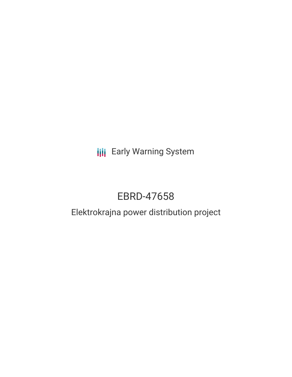**III** Early Warning System

# EBRD-47658

# Elektrokrajna power distribution project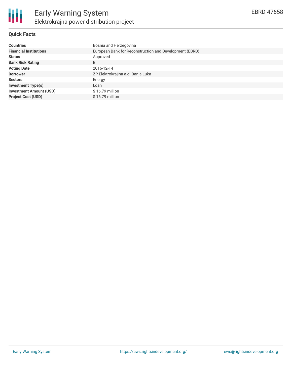

## **Quick Facts**

| <b>Countries</b>               | Bosnia and Herzegovina                                  |
|--------------------------------|---------------------------------------------------------|
| <b>Financial Institutions</b>  | European Bank for Reconstruction and Development (EBRD) |
| <b>Status</b>                  | Approved                                                |
| <b>Bank Risk Rating</b>        | B                                                       |
| <b>Voting Date</b>             | 2016-12-14                                              |
| <b>Borrower</b>                | ZP Elektrokrajina a.d. Banja Luka                       |
| <b>Sectors</b>                 | Energy                                                  |
| <b>Investment Type(s)</b>      | Loan                                                    |
| <b>Investment Amount (USD)</b> | $$16.79$ million                                        |
| <b>Project Cost (USD)</b>      | $$16.79$ million                                        |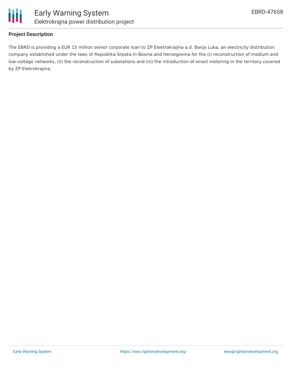

#### **Project Description**

The EBRD is providing a EUR 15 million senior corporate loan to ZP Elektrokrajina a.d. Banja Luka, an electricity distribution company established under the laws of Republika Srpska in Bosnia and Herzegovina for the (i) reconstruction of medium and low-voltage networks, (ii) the reconstruction of substations and (iii) the introduction of smart metering in the territory covered by ZP Elekrokrajina.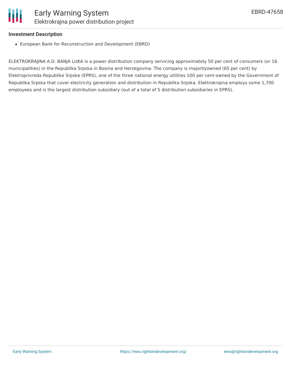#### **Investment Description**

European Bank for Reconstruction and Development (EBRD)

ELEKTROKRAJINA A.D. BANJA LUKA is a power distribution company servicing approximately 50 per cent of consumers (or 16 municipalities) in the Republika Srpska in Bosnia and Herzegovina. The company is majorityowned (65 per cent) by Elektroprivreda Republike Srpske (EPRS), one of the three national energy utilities 100 per cent-owned by the Government of Republika Srpska that cover electricity generation and distribution in Republika Srpska. Elektrokrajina employs some 1,700 employees and is the largest distribution subsidiary (out of a total of 5 distribution subsidiaries in EPRS).